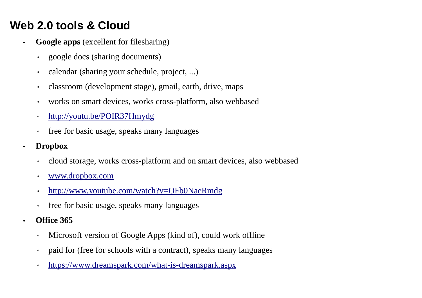# **Web 2.0 tools & Cloud**

- • **Google apps** (excellent for filesharing)
	- ◦google docs (sharing documents)
	- ◦calendar (sharing your schedule, project, ...)
	- ◦classroom (development stage), gmail, earth, drive, maps
	- ◦works on smart devices, works cross-platform, also webbased
	- ◦http://youtu.be/POIR37Hmydg
	- $\bullet$ free for basic usage, speaks many languages
- • **Dropbox**
	- ◦cloud storage, works cross-platform and on smart devices, also webbased
	- ◦www.dropbox.com
	- ◦http://www.youtube.com/watch?v=OFb0NaeRmdg
	- ◦free for basic usage, speaks many languages
- • **Office 365**
	- ◦Microsoft version of Google Apps (kind of), could work offline
	- ◦paid for (free for schools with a contract), speaks many languages
	- ◦https://www.dreamspark.com/what-is-dreamspark.aspx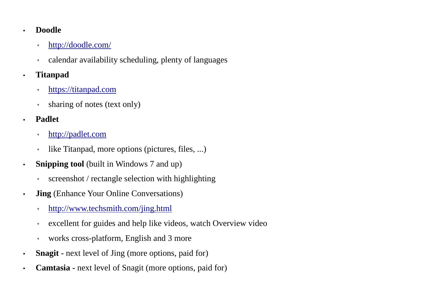#### •**Doodle**

- ◦http://doodle.com/
- $\bullet$ calendar availability scheduling, plenty of languages
- • **Titanpad**
	- ◦https://titanpad.com
	- ◦sharing of notes (text only)
- • **Padlet**
	- ◦http://padlet.com
	- ◦like Titanpad, more options (pictures, files, ...)
- • **Snipping tool** (built in Windows 7 and up)
	- $\bullet$ screenshot / rectangle selection with highlighting
- • **Jing** (Enhance Your Online Conversations)
	- ◦http://www.techsmith.com/jing.html
	- ◦excellent for guides and help like videos, watch Overview video
	- ◦works cross-platform, English and 3 more
- •**Snagit - next level of Jing (more options, paid for)**
- •**Camtasia -** next level of Snagit (more options, paid for)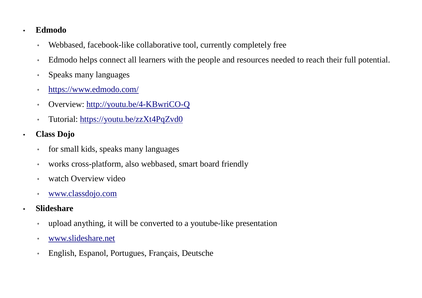### **Edmodo**

•

•

- $\bullet$ Webbased, facebook-like collaborative tool, currently completely free
- $\bullet$ Edmodo helps connect all learners with the people and resources needed to reach their full potential.
- $\bullet$ Speaks many languages
- ◦https://www.edmodo.com/
- ◦Overview: http://youtu.be/4-KBwriCO-Q
- ◦Tutorial: https://youtu.be/zzXt4PqZvd0
- **Class Dojo**
	- ◦for small kids, speaks many languages
	- ◦works cross-platform, also webbased, smart board friendly
	- ◦watch Overview video
	- ◦www.classdojo.com
- **Slideshare**
	- ◦upload anything, it will be converted to a youtube-like presentation
	- ◦www.slideshare.net
	- ◦English, Espanol, Portugues, Français, Deutsche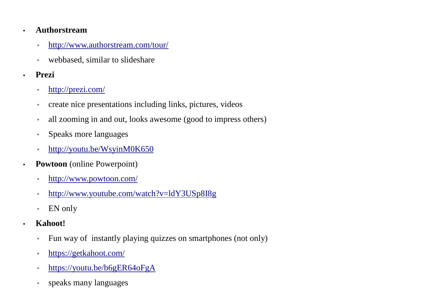#### •**Authorstream**

- $\bullet$ http://www.authorstream.com/tour/
- $\bullet$ webbased, similar to slideshare
- • **Prezi**
	- ◦http://prezi.com/
	- ◦create nice presentations including links, pictures, videos
	- ◦all zooming in and out, looks awesome (good to impress others)
	- ◦Speaks more languages
	- ◦http://youtu.be/WsyinM0K650
- • **Powtoon** (online Powerpoint)
	- ◦http://www.powtoon.com/
	- ◦http://www.youtube.com/watch?v=ldY3USp8I8g
	- ◦EN only
- • **Kahoot!**
	- ◦Fun way of instantly playing quizzes on smartphones (not only)
	- ◦https://getkahoot.com/
	- ◦https://youtu.be/b6gER64oFgA
	- ◦speaks many languages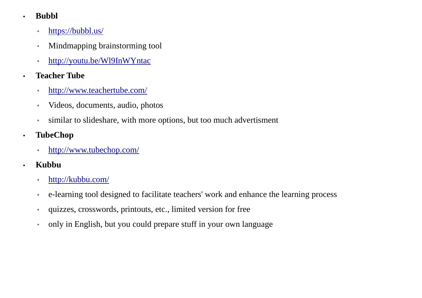- • **Bubbl**
	- ◦https://bubbl.us/
	- ◦Mindmapping brainstorming tool
	- ◦http://youtu.be/Wl9InWYntac
- • **Teacher Tube**
	- ◦http://www.teachertube.com/
	- ◦Videos, documents, audio, photos
	- ◦similar to slideshare, with more options, but too much advertisment
- • **TubeChop**
	- $\bullet$ http://www.tubechop.com/
- • **Kubbu**
	- $\bullet$ http://kubbu.com/
	- $\bullet$ e-learning tool designed to facilitate teachers' work and enhance the learning process
	- ◦quizzes, crosswords, printouts, etc., limited version for free
	- ◦only in English, but you could prepare stuff in your own language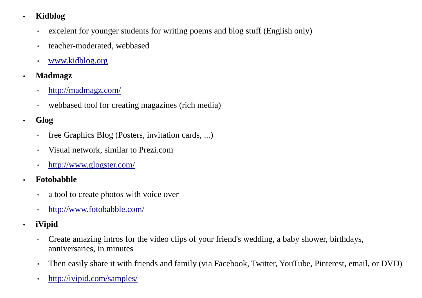#### •**Kidblog**

- ◦excelent for younger students for writing poems and blog stuff (English only)
- ◦teacher-moderated, webbased
- ◦www.kidblog.org
- • **Madmagz**
	- ◦http://madmagz.com/
	- $\bullet$ webbased tool for creating magazines (rich media)
- • **Glog**
	- $\bullet$ free Graphics Blog (Posters, invitation cards, ...)
	- $\bullet$ Visual network, similar to Prezi.com
	- $\bullet$ http://www.glogster.com/
- • **Fotobabble**
	- $\bullet$ a tool to create photos with voice over
	- ◦http://www.fotobabble.com/
- • **iVipid**
	- ◦ Create amazing intros for the video clips of your friend's wedding, a baby shower, birthdays, anniversaries, in minutes
	- ◦Then easily share it with friends and family (via Facebook, Twitter, YouTube, Pinterest, email, or DVD)
	- ◦http://ivipid.com/samples/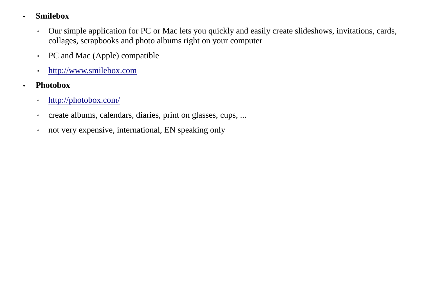#### •**Smilebox**

- $\bullet$  Our simple application for PC or Mac lets you quickly and easily create slideshows, invitations, cards, collages, scrapbooks and photo albums right on your computer
- $\bullet$ PC and Mac (Apple) compatible
- $\bullet$ http://www.smilebox.com
- **Photobox**

- ◦http://photobox.com/
- ◦create albums, calendars, diaries, print on glasses, cups, ...
- ◦not very expensive, international, EN speaking only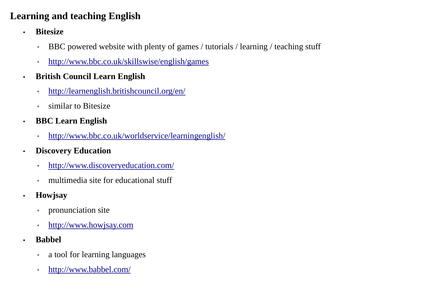## **Learning and teaching English**

- • **Bitesize**
	- ◦BBC powered website with plenty of games / tutorials / learning / teaching stuff
	- ◦http://www.bbc.co.uk/skillswise/english/games
- • **British Council Learn English**
	- ◦http://learnenglish.britishcouncil.org/en/
	- ◦similar to Bitesize
- • **BBC Learn English**
	- ◦http://www.bbc.co.uk/worldservice/learningenglish/
- • **Discovery Education**
	- ◦http://www.discoveryeducation.com/
	- ◦multimedia site for educational stuff
- • **Howjsay**
	- $\bullet$ pronunciation site
	- ◦http://www.howjsay.com
- • **Babbel**
	- ◦a tool for learning languages
	- ◦http://www.babbel.com/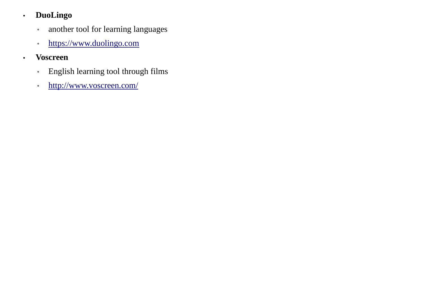#### •**DuoLingo**

- $\bullet$ another tool for learning languages
- $\bullet$ https://www.duolingo.com
- • **Voscreen**
	- ◦English learning tool through films
	- $\bullet$ http://www.voscreen.com/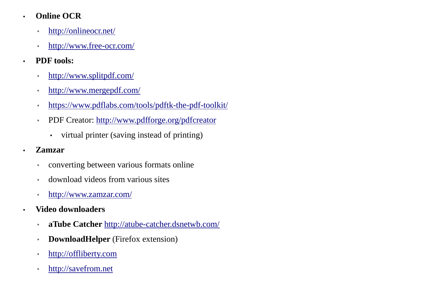#### •**Online OCR**

- ◦http://onlineocr.net/
- ◦http://www.free-ocr.com/
- • **PDF tools:**
	- ◦http://www.splitpdf.com/
	- ◦http://www.mergepdf.com/
	- ◦https://www.pdflabs.com/tools/pdftk-the-pdf-toolkit/
	- ◦ PDF Creator: http://www.pdfforge.org/pdfcreator
		- ▪virtual printer (saving instead of printing)
- •**Zamzar**

- $\bullet$ converting between various formats online
- ◦download videos from various sites
- $\bullet$ http://www.zamzar.com/
- **Video downloaders**
	- ◦**aTube Catcher** http://atube-catcher.dsnetwb.com/
	- ◦**DownloadHelper** (Firefox extension)
	- ◦http://offliberty.com
	- ◦http://savefrom.net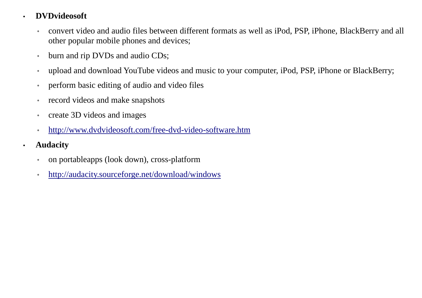#### •**DVDvideosoft**

- ◦ convert video and audio files between different formats as well as iPod, PSP, iPhone, BlackBerry and all other popular mobile phones and devices;
- $\bullet$ burn and rip DVDs and audio CDs;
- $\bullet$ upload and download YouTube videos and music to your computer, iPod, PSP, iPhone or BlackBerry;
- ◦perform basic editing of audio and video files
- ◦record videos and make snapshots
- ◦create 3D videos and images
- ◦http://www.dvdvideosoft.com/free-dvd-video-software.htm
- • **Audacity**
	- ◦on portableapps (look down), cross-platform
	- ◦http://audacity.sourceforge.net/download/windows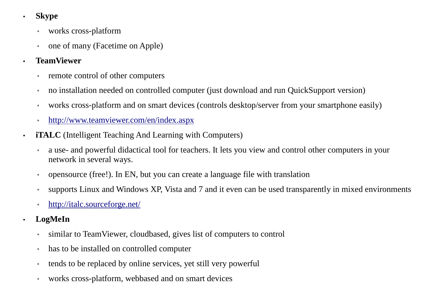- • **Skype**
	- ◦works cross-platform
	- ◦one of many (Facetime on Apple)

#### •**TeamViewer**

- ◦remote control of other computers
- $\bullet$ no installation needed on controlled computer (just download and run QuickSupport version)
- ◦works cross-platform and on smart devices (controls desktop/server from your smartphone easily)
- ◦http://www.teamviewer.com/en/index.aspx
- **iTALC** (Intelligent Teaching And Learning with Computers)
	- ◦ a use- and powerful didactical tool for teachers. It lets you view and control other computers in your network in several ways.
	- ◦opensource (free!). In EN, but you can create a language file with translation
	- ◦supports Linux and Windows XP, Vista and 7 and it even can be used transparently in mixed environments
	- ◦http://italc.sourceforge.net/
- • **LogMeIn**
	- ◦similar to TeamViewer, cloudbased, gives list of computers to control
	- ◦has to be installed on controlled computer
	- ◦tends to be replaced by online services, yet still very powerful
	- ◦works cross-platform, webbased and on smart devices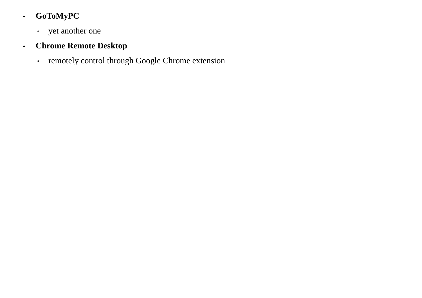#### •**GoToMyPC**

◦ yet another one

#### •**Chrome Remote Desktop**

◦ remotely control through Google Chrome extension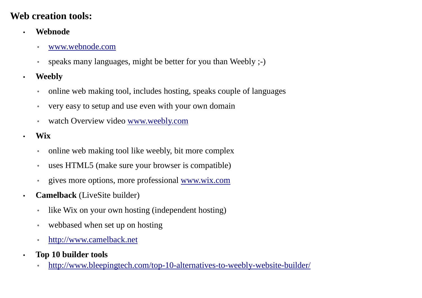## **Web creation tools:**

- • **Webnode**
	- ◦www.webnode.com
	- $\bullet$ speaks many languages, might be better for you than Weebly ;-)
- • **Weebly**
	- ◦online web making tool, includes hosting, speaks couple of languages
	- ◦very easy to setup and use even with your own domain
	- ◦watch Overview video www.weebly.com
	- **Wix**

- ◦online web making tool like weebly, bit more complex
- ◦uses HTML5 (make sure your browser is compatible)
- ◦<sup>g</sup>ives more options, more professional www.wix.com
- • **Camelback** (LiveSite builder)
	- ◦like Wix on your own hosting (independent hosting)
	- ◦webbased when set up on hosting
	- ◦http://www.camelback.net
- • **Top 10 builder tools**
	- http://www.bleepingtech.com/top-10-alternatives-to-weebly-website-builder/◦